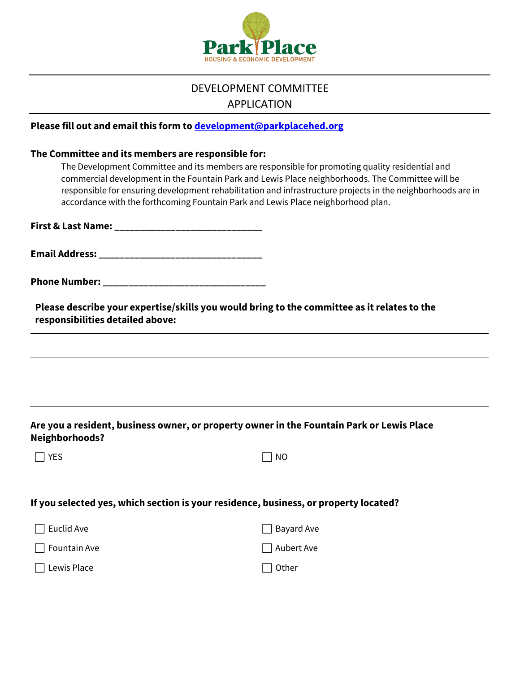

# DEVELOPMENT COMMITTEE APPLICATION

## **Please fill out and email this form to [development@parkplacehed.org](mailto:development@parkplacehed.org)**

#### **The Committee and its members are responsible for:**

**First & Last Name: \_\_\_\_\_\_\_\_\_\_\_\_\_\_\_\_\_\_\_\_\_\_\_\_\_\_\_\_\_**

**Email Address: \_\_\_\_\_\_\_\_\_\_\_\_\_\_\_\_\_\_\_\_\_\_\_\_\_\_\_\_\_\_\_\_**

**Phone Number:**  $\blacksquare$ 

**Please describe your expertise/skills you would bring to the committee as it relates to the responsibilities detailed above:**

## **Are you a resident, business owner, or property owner in the Fountain Park or Lewis Place Neighborhoods?**

| $\Box$ Yes | $\Box$ NO |
|------------|-----------|
|------------|-----------|

#### **If you selected yes, which section is your residence, business, or property located?**

| $\Box$ Euclid Ave   | $\Box$ Bayard Ave |
|---------------------|-------------------|
| $\Box$ Fountain Ave | $\Box$ Aubert Ave |
| $\Box$ Lewis Place  | $\Box$ Other      |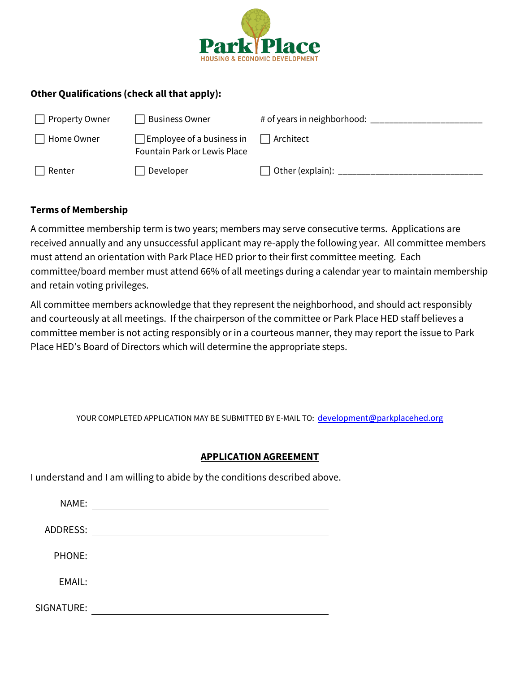

# **Other Qualifications (check all that apply):**

| <b>Property Owner</b> | Business Owner                                                          | # of years in neighborhood: |
|-----------------------|-------------------------------------------------------------------------|-----------------------------|
| Home Owner            | $\Box$ Employee of a business in<br><b>Fountain Park or Lewis Place</b> | $\Box$ Architect            |
| Renter                | Developer                                                               | Other (explain):            |

# **Terms of Membership**

A committee membership term is two years; members may serve consecutive terms. Applications are received annually and any unsuccessful applicant may re-apply the following year. All committee members must attend an orientation with Park Place HED prior to their first committee meeting. Each committee/board member must attend 66% of all meetings during a calendar year to maintain membership and retain voting privileges.

All committee members acknowledge that they represent the neighborhood, and should act responsibly and courteously at all meetings. If the chairperson of the committee or Park Place HED staff believes a committee member is not acting responsibly or in a courteous manner, they may report the issue to Park Place HED's Board of Directors which will determine the appropriate steps.

YOUR COMPLETED APPLICATION MAY BE SUBMITTED BY E-MAIL TO: [development@parkplacehed.org](mailto:development@parkplacehed.org)

### **APPLICATION AGREEMENT**

I understand and I am willing to abide by the conditions described above.

| NAME:      |  |
|------------|--|
| ADDRESS:   |  |
| PHONE:     |  |
| EMAIL:     |  |
|            |  |
| SIGNATURE: |  |